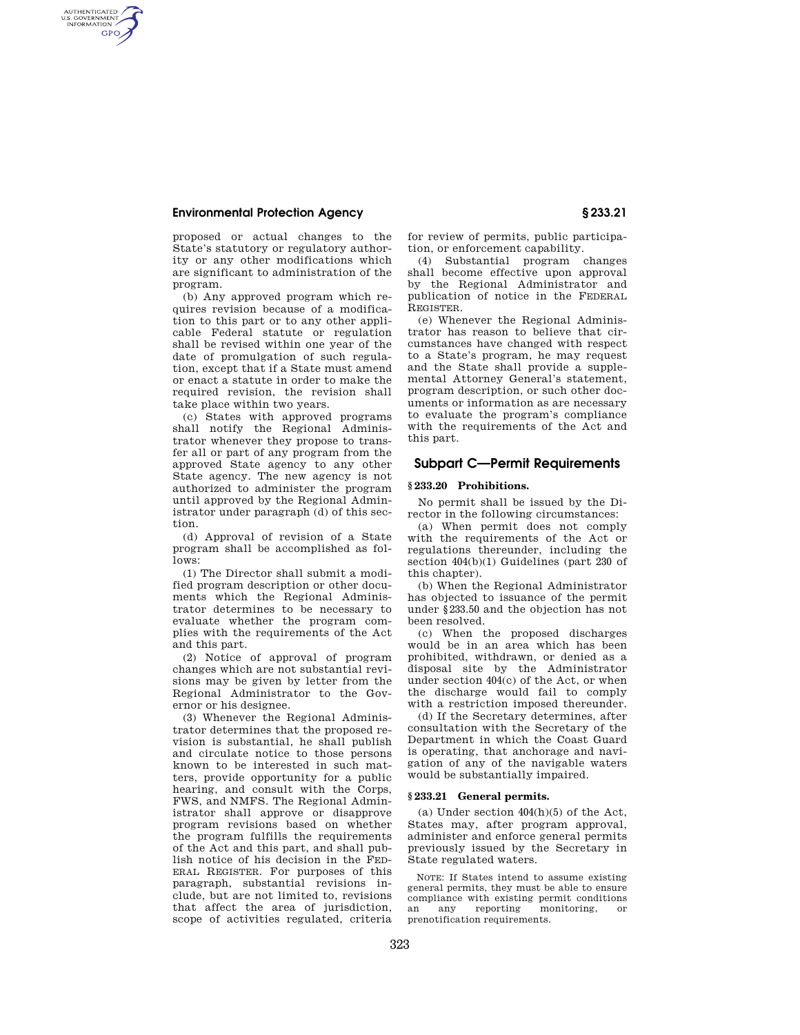### **Environmental Protection Agency § 233.21**

AUTHENTICATED<br>U.S. GOVERNMENT<br>INFORMATION **GPO** 

> proposed or actual changes to the State's statutory or regulatory authority or any other modifications which are significant to administration of the program.

> (b) Any approved program which requires revision because of a modification to this part or to any other applicable Federal statute or regulation shall be revised within one year of the date of promulgation of such regulation, except that if a State must amend or enact a statute in order to make the required revision, the revision shall take place within two years.

> (c) States with approved programs shall notify the Regional Administrator whenever they propose to transfer all or part of any program from the approved State agency to any other State agency. The new agency is not authorized to administer the program until approved by the Regional Administrator under paragraph (d) of this section.

> (d) Approval of revision of a State program shall be accomplished as follows:

> (1) The Director shall submit a modified program description or other documents which the Regional Administrator determines to be necessary to evaluate whether the program complies with the requirements of the Act and this part.

> (2) Notice of approval of program changes which are not substantial revisions may be given by letter from the Regional Administrator to the Governor or his designee.

> (3) Whenever the Regional Administrator determines that the proposed revision is substantial, he shall publish and circulate notice to those persons known to be interested in such matters, provide opportunity for a public hearing, and consult with the Corps, FWS, and NMFS. The Regional Administrator shall approve or disapprove program revisions based on whether the program fulfills the requirements of the Act and this part, and shall publish notice of his decision in the FED-ERAL REGISTER. For purposes of this paragraph, substantial revisions include, but are not limited to, revisions that affect the area of jurisdiction, scope of activities regulated, criteria

for review of permits, public participation, or enforcement capability.

(4) Substantial program changes shall become effective upon approval by the Regional Administrator and publication of notice in the FEDERAL REGISTER.

(e) Whenever the Regional Administrator has reason to believe that circumstances have changed with respect to a State's program, he may request and the State shall provide a supplemental Attorney General's statement, program description, or such other documents or information as are necessary to evaluate the program's compliance with the requirements of the Act and this part.

# **Subpart C—Permit Requirements**

#### **§ 233.20 Prohibitions.**

No permit shall be issued by the Director in the following circumstances:

(a) When permit does not comply with the requirements of the Act or regulations thereunder, including the section 404(b)(1) Guidelines (part 230 of this chapter).

(b) When the Regional Administrator has objected to issuance of the permit under §233.50 and the objection has not been resolved.

(c) When the proposed discharges would be in an area which has been prohibited, withdrawn, or denied as a disposal site by the Administrator under section 404(c) of the Act, or when the discharge would fail to comply with a restriction imposed thereunder.

(d) If the Secretary determines, after consultation with the Secretary of the Department in which the Coast Guard is operating, that anchorage and navigation of any of the navigable waters would be substantially impaired.

### **§ 233.21 General permits.**

(a) Under section 404(h)(5) of the Act, States may, after program approval, administer and enforce general permits previously issued by the Secretary in State regulated waters.

NOTE: If States intend to assume existing general permits, they must be able to ensure compliance with existing permit conditions an any reporting monitoring, or prenotification requirements.